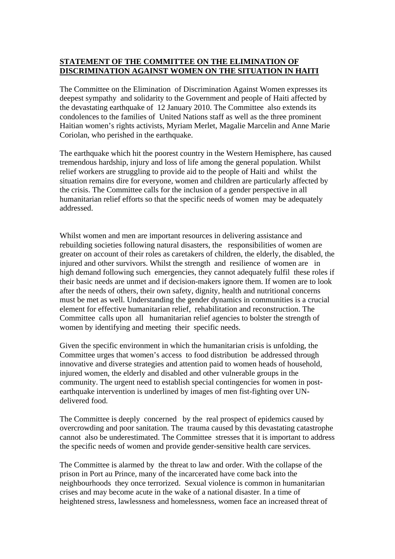## **STATEMENT OF THE COMMITTEE ON THE ELIMINATION OF DISCRIMINATION AGAINST WOMEN ON THE SITUATION IN HAITI**

The Committee on the Elimination of Discrimination Against Women expresses its deepest sympathy and solidarity to the Government and people of Haiti affected by the devastating earthquake of 12 January 2010. The Committee also extends its condolences to the families of United Nations staff as well as the three prominent Haitian women's rights activists, Myriam Merlet, Magalie Marcelin and Anne Marie Coriolan, who perished in the earthquake.

The earthquake which hit the poorest country in the Western Hemisphere, has caused tremendous hardship, injury and loss of life among the general population. Whilst relief workers are struggling to provide aid to the people of Haiti and whilst the situation remains dire for everyone, women and children are particularly affected by the crisis. The Committee calls for the inclusion of a gender perspective in all humanitarian relief efforts so that the specific needs of women may be adequately addressed.

Whilst women and men are important resources in delivering assistance and rebuilding societies following natural disasters, the responsibilities of women are greater on account of their roles as caretakers of children, the elderly, the disabled, the injured and other survivors. Whilst the strength and resilience of women are in high demand following such emergencies, they cannot adequately fulfil these roles if their basic needs are unmet and if decision-makers ignore them. If women are to look after the needs of others, their own safety, dignity, health and nutritional concerns must be met as well. Understanding the gender dynamics in communities is a crucial element for effective humanitarian relief, rehabilitation and reconstruction. The Committee calls upon all humanitarian relief agencies to bolster the strength of women by identifying and meeting their specific needs.

Given the specific environment in which the humanitarian crisis is unfolding, the Committee urges that women's access to food distribution be addressed through innovative and diverse strategies and attention paid to women heads of household, injured women, the elderly and disabled and other vulnerable groups in the community. The urgent need to establish special contingencies for women in postearthquake intervention is underlined by images of men fist-fighting over UNdelivered food.

The Committee is deeply concerned by the real prospect of epidemics caused by overcrowding and poor sanitation. The trauma caused by this devastating catastrophe cannot also be underestimated. The Committee stresses that it is important to address the specific needs of women and provide gender-sensitive health care services.

The Committee is alarmed by the threat to law and order. With the collapse of the prison in Port au Prince, many of the incarcerated have come back into the neighbourhoods they once terrorized. Sexual violence is common in humanitarian crises and may become acute in the wake of a national disaster. In a time of heightened stress, lawlessness and homelessness, women face an increased threat of